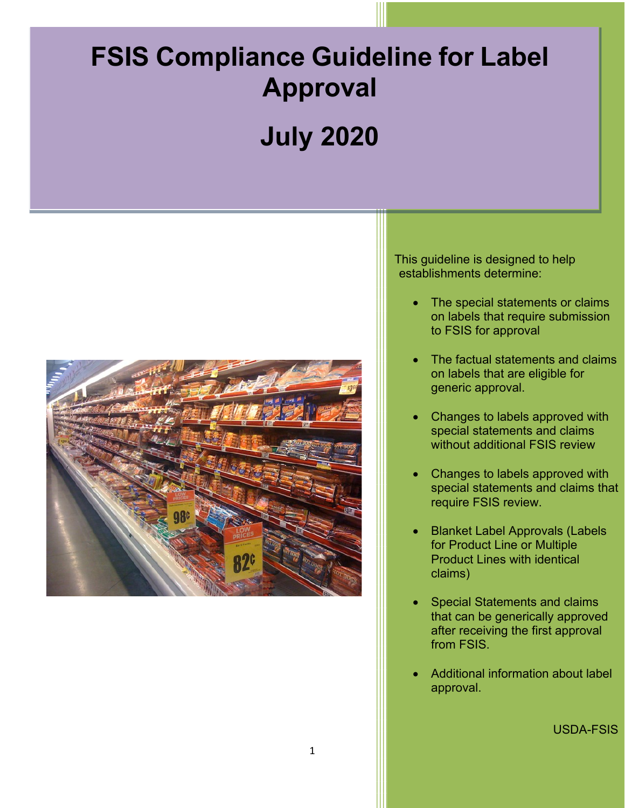# **FSIS Compliance Guideline for Label Approval**

# **July 2020**



This guideline is designed to help establishments determine:

- The special statements or claims on labels that require submission to FSIS for approval
- The factual statements and claims on labels that are eligible for generic approval.
- Changes to labels approved with special statements and claims without additional FSIS review
- require FSIS review. • Changes to labels approved with special statements and claims that
- Blanket Label Approvals (Labels for Product Line or Multiple Product Lines with identical claims)
- from FSIS. Special Statements and claims that can be generically approved after receiving the first approval
- Additional information about label approval.

USDA-FSIS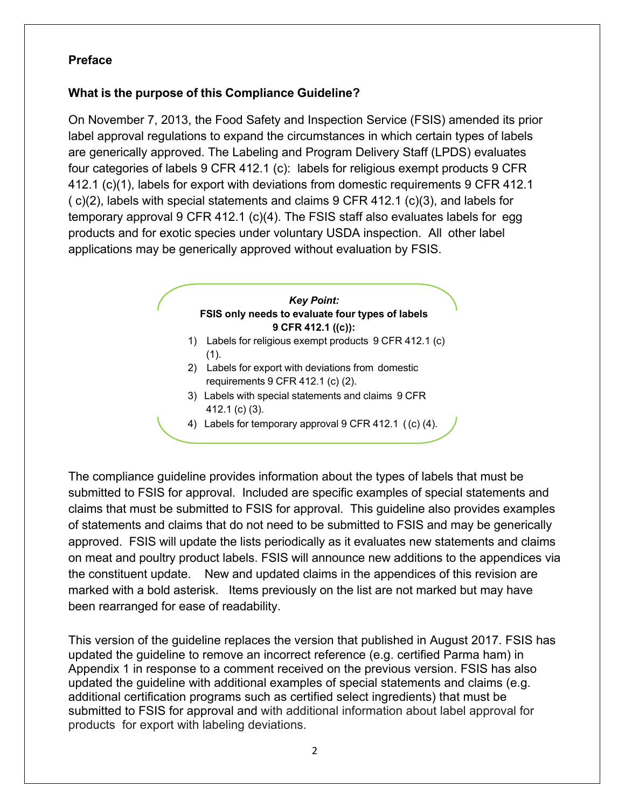#### <span id="page-1-0"></span>**Preface**

#### **What is the purpose of this Compliance Guideline?**

 On November 7, 2013, the Food Safety and Inspection Service (FSIS) amended its prior label approval regulations to expand the circumstances in which certain types of labels are generically approved. The Labeling and Program Delivery Staff (LPDS) evaluates four categories of labels 9 CFR 412.1 (c): labels for religious exempt products 9 CFR 412.1 (c)(1), labels for export with deviations from domestic requirements 9 CFR 412.1 ( c)(2), labels with special statements and claims 9 CFR 412.1 (c)(3), and labels for temporary approval 9 CFR 412.1 (c)(4). The FSIS staff also evaluates labels for egg products and for exotic species under voluntary USDA inspection. All other label applications may be generically approved without evaluation by FSIS.

# **FSIS only needs to evaluate four types of labels 9 CFR 412.1 ((c)):**  *r Key Point:*

- 1) Labels for religious exempt products 9 CFR 412.1 (c)  $(1).$
- 2) Labels for export with deviations from domestic requirements 9 CFR 412.1 (c) (2).
- 3) Labels with special statements and claims 9 CFR 412.1 (c) (3).
- 4) Labels for temporary approval 9 CFR 412.1 ( (c) (4).

 approved. FSIS will update the lists periodically as it evaluates new statements and claims the constituent update. New and updated claims in the appendices of this revision are The compliance guideline provides information about the types of labels that must be submitted to FSIS for approval. Included are specific examples of special statements and claims that must be submitted to FSIS for approval. This guideline also provides examples of statements and claims that do not need to be submitted to FSIS and may be generically on meat and poultry product labels. FSIS will announce new additions to the appendices via marked with a bold asterisk. Items previously on the list are not marked but may have been rearranged for ease of readability.

 updated the guideline to remove an incorrect reference (e.g. certified Parma ham) in Appendix 1 in response to a comment received on the previous version. FSIS has also This version of the guideline replaces the version that published in August 2017. FSIS has updated the guideline with additional examples of special statements and claims (e.g. additional certification programs such as certified select ingredients) that must be submitted to FSIS for approval and with additional information about label approval for products for export with labeling deviations.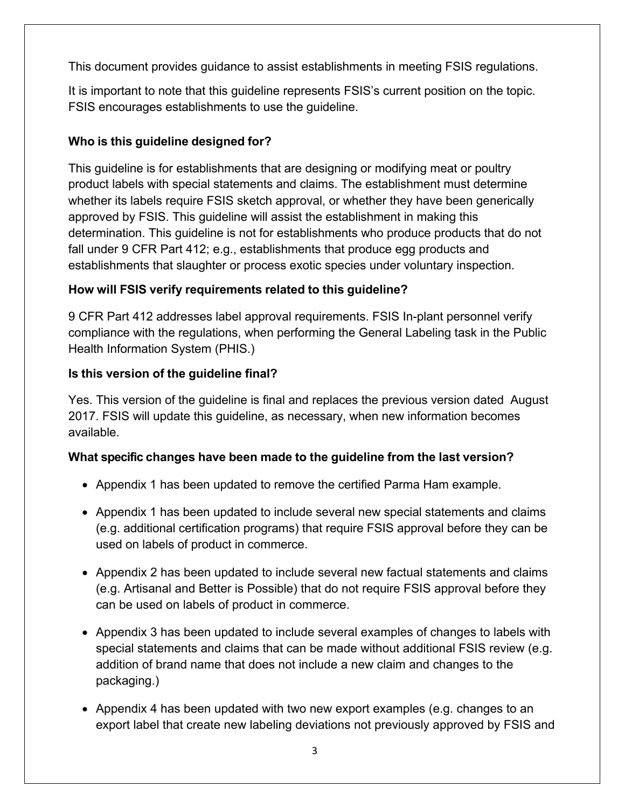This document provides guidance to assist establishments in meeting FSIS regulations.

 It is important to note that this guideline represents FSIS's current position on the topic. FSIS encourages establishments to use the guideline.

# **Who is this guideline designed for?**

 This guideline is for establishments that are designing or modifying meat or poultry product labels with special statements and claims. The establishment must determine whether its labels require FSIS sketch approval, or whether they have been generically approved by FSIS. This guideline will assist the establishment in making this determination. This guideline is not for establishments who produce products that do not fall under 9 CFR Part 412; e.g., establishments that produce egg products and establishments that slaughter or process exotic species under voluntary inspection.

# **How will FSIS verify requirements related to this guideline?**

 9 CFR Part 412 addresses label approval requirements. FSIS In-plant personnel verify compliance with the regulations, when performing the General Labeling task in the Public Health Information System (PHIS.)

# **Is this version of the guideline final?**

 Yes. This version of the guideline is final and replaces the previous version dated August 2017. FSIS will update this guideline, as necessary, when new information becomes available.

# **What specific changes have been made to the guideline from the last version?**

- Appendix 1 has been updated to remove the certified Parma Ham example.
- Appendix 1 has been updated to include several new special statements and claims (e.g. additional certification programs) that require FSIS approval before they can be used on labels of product in commerce.
- Appendix 2 has been updated to include several new factual statements and claims (e.g. Artisanal and Better is Possible) that do not require FSIS approval before they can be used on labels of product in commerce.
- special statements and claims that can be made without additional FSIS review (e.g. • Appendix 3 has been updated to include several examples of changes to labels with addition of brand name that does not include a new claim and changes to the packaging.)
- • Appendix 4 has been updated with two new export examples (e.g. changes to an export label that create new labeling deviations not previously approved by FSIS and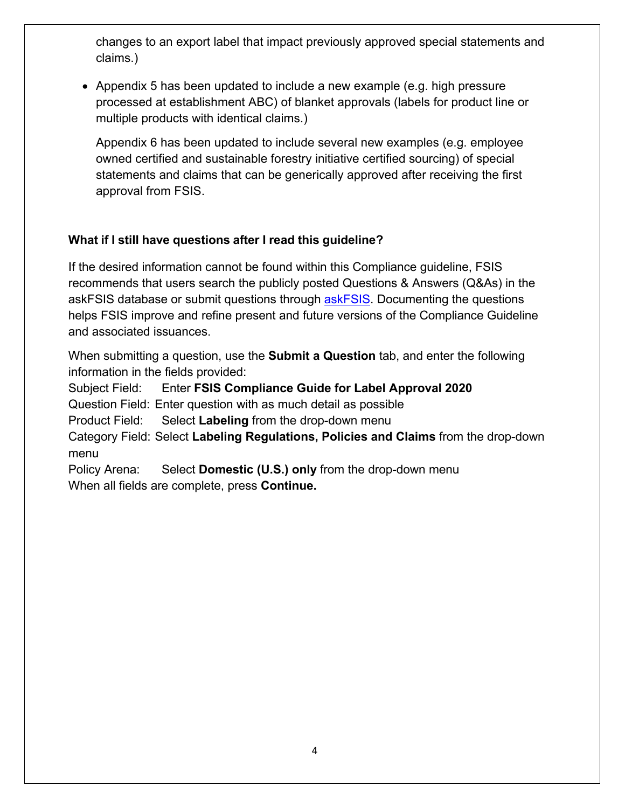changes to an export label that impact previously approved special statements and claims.)

multiple products with identical claims.) • Appendix 5 has been updated to include a new example (e.g. high pressure processed at establishment ABC) of blanket approvals (labels for product line or

multiple products with identical claims.)<br>Appendix 6 has been updated to include several new examples (e.g. employee owned certified and sustainable forestry initiative certified sourcing) of special statements and claims that can be generically approved after receiving the first approval from FSIS.

# **What if I still have questions after I read this guideline?**

 If the desired information cannot be found within this Compliance guideline, FSIS recommends that users search the publicly posted Questions & Answers (Q&As) in the askFSIS database or submit questions through <u>askFSIS</u>. Documenting the questions helps FSIS improve and refine present and future versions of the Compliance Guideline and associated issuances.

 When submitting a question, use the **Submit a Question** tab, and enter the following information in the fields provided:

**Subject Field:**  Question Field: Enter question with as much detail as possible **Enter FSIS Compliance Guide for Label Approval 2020** 

**Product Field:** Select Labeling from the drop-down menu

 Category Field: Select **Labeling Regulations, Policies and Claims** from the drop-down menu

Policy Arena: When all fields are complete, press **Continue.**  Select **Domestic (U.S.) only** from the drop-down menu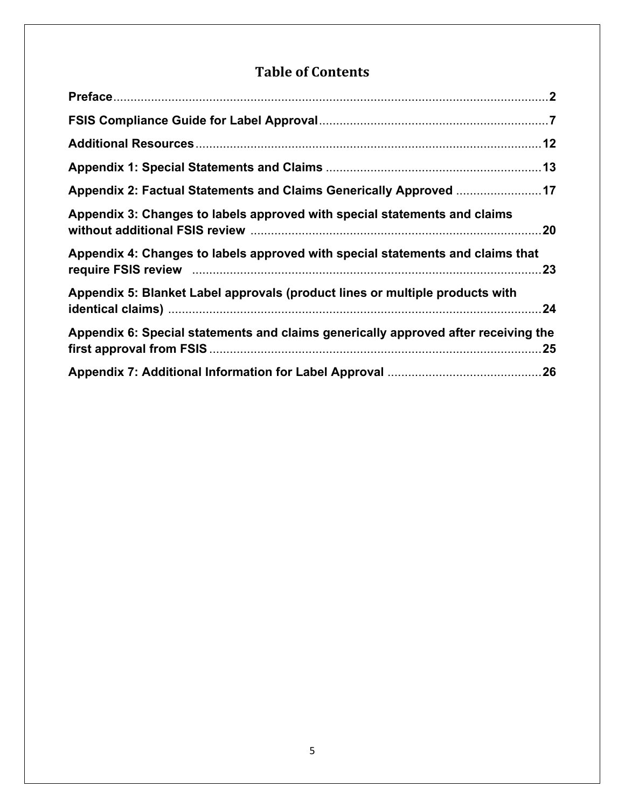# **Table of Contents**

| Appendix 2: Factual Statements and Claims Generically Approved 17                  |     |
|------------------------------------------------------------------------------------|-----|
| Appendix 3: Changes to labels approved with special statements and claims          | 20  |
| Appendix 4: Changes to labels approved with special statements and claims that     | .23 |
| Appendix 5: Blanket Label approvals (product lines or multiple products with       | 24  |
| Appendix 6: Special statements and claims generically approved after receiving the |     |
|                                                                                    |     |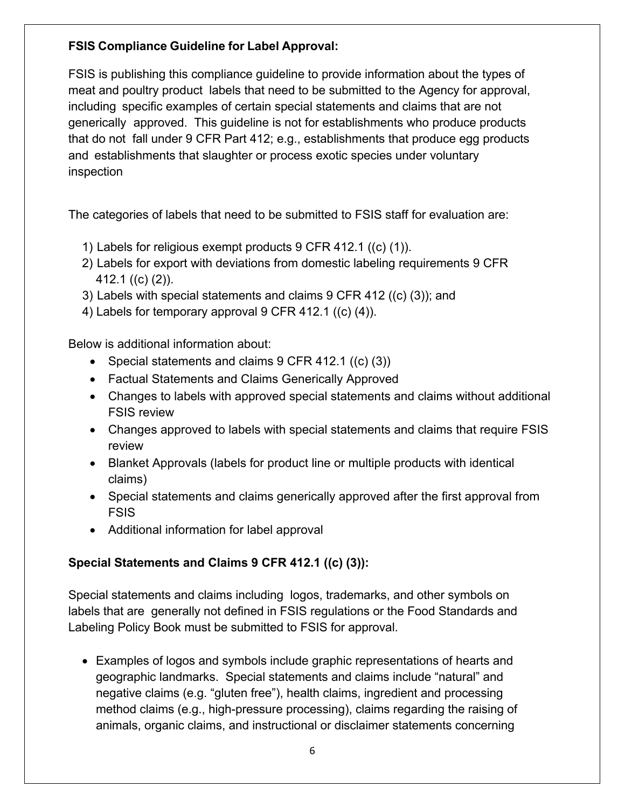#### **FSIS Compliance Guideline for Label Approval:**

 FSIS is publishing this compliance guideline to provide information about the types of meat and poultry product labels that need to be submitted to the Agency for approval, including specific examples of certain special statements and claims that are not generically approved. This guideline is not for establishments who produce products that do not fall under 9 CFR Part 412; e.g., establishments that produce egg products and establishments that slaughter or process exotic species under voluntary inspection

The categories of labels that need to be submitted to FSIS staff for evaluation are:

- 1) Labels for religious exempt products 9 CFR 412.1 ((c) (1)).
- 2) Labels for export with deviations from domestic labeling requirements 9 CFR 412.1 ((c) (2)).
- 3) Labels with special statements and claims 9 CFR 412 ((c) (3)); and
- 4) Labels for temporary approval 9 CFR 412.1 ((c) (4)).

Below is additional information about:

- Special statements and claims 9 CFR 412.1 ((c) (3))
- Factual Statements and Claims Generically Approved
- • Changes to labels with approved special statements and claims without additional FSIS review
- • Changes approved to labels with special statements and claims that require FSIS review
- • Blanket Approvals (labels for product line or multiple products with identical claims)
- Special statements and claims generically approved after the first approval from FSIS
- Additional information for label approval

#### **Special Statements and Claims 9 CFR 412.1 ((c) (3)):**

 labels that are generally not defined in FSIS regulations or the Food Standards and Special statements and claims including logos, trademarks, and other symbols on Labeling Policy Book must be submitted to FSIS for approval.

 • Examples of logos and symbols include graphic representations of hearts and geographic landmarks. Special statements and claims include "natural" and negative claims (e.g. "gluten free"), health claims, ingredient and processing method claims (e.g., high-pressure processing), claims regarding the raising of animals, organic claims, and instructional or disclaimer statements concerning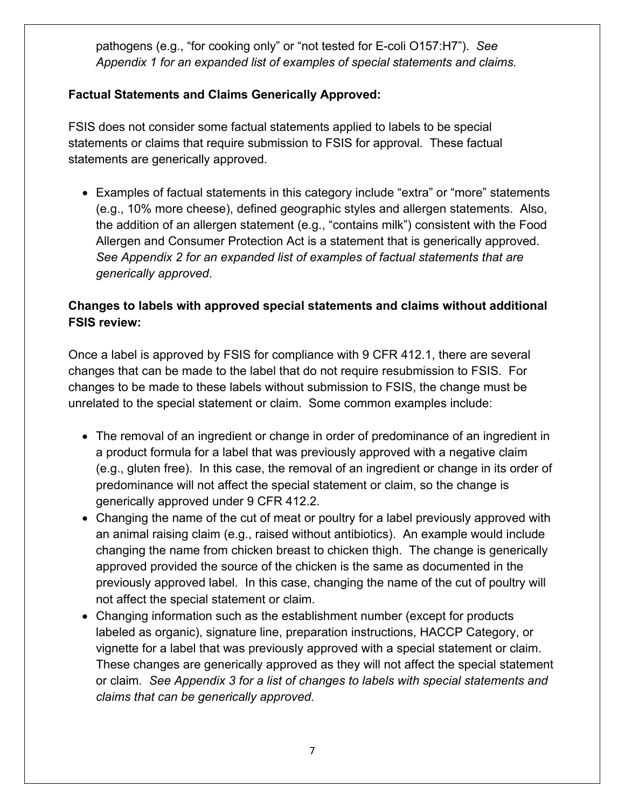<span id="page-6-0"></span> pathogens (e.g., "for cooking only" or "not tested for E-coli O157:H7"). *See Appendix 1 for an expanded list of examples of special statements and claims.* 

#### **Factual Statements and Claims Generically Approved:**

 statements are generically approved. FSIS does not consider some factual statements applied to labels to be special statements or claims that require submission to FSIS for approval. These factual

 (e.g., 10% more cheese), defined geographic styles and allergen statements. Also, Allergen and Consumer Protection Act is a statement that is generically approved. • Examples of factual statements in this category include "extra" or "more" statements the addition of an allergen statement (e.g., "contains milk") consistent with the Food *See Appendix 2 for an expanded list of examples of factual statements that are generically approved*.

#### **Changes to labels with approved special statements and claims without additional FSIS review:**

 unrelated to the special statement or claim. Some common examples include: Once a label is approved by FSIS for compliance with 9 CFR 412.1, there are several changes that can be made to the label that do not require resubmission to FSIS. For changes to be made to these labels without submission to FSIS, the change must be

- (e.g., gluten free). In this case, the removal of an ingredient or change in its order of generically approved under 9 CFR 412.2. • The removal of an ingredient or change in order of predominance of an ingredient in a product formula for a label that was previously approved with a negative claim predominance will not affect the special statement or claim, so the change is
- Changing the name of the cut of meat or poultry for a label previously approved with an animal raising claim (e.g., raised without antibiotics). An example would include changing the name from chicken breast to chicken thigh. The change is generically approved provided the source of the chicken is the same as documented in the previously approved label. In this case, changing the name of the cut of poultry will not affect the special statement or claim.
- vignette for a label that was previously approved with a special statement or claim. *claims that can be generically approved.* • Changing information such as the establishment number (except for products labeled as organic), signature line, preparation instructions, HACCP Category, or These changes are generically approved as they will not affect the special statement or claim. *See Appendix 3 for a list of changes to labels with special statements and*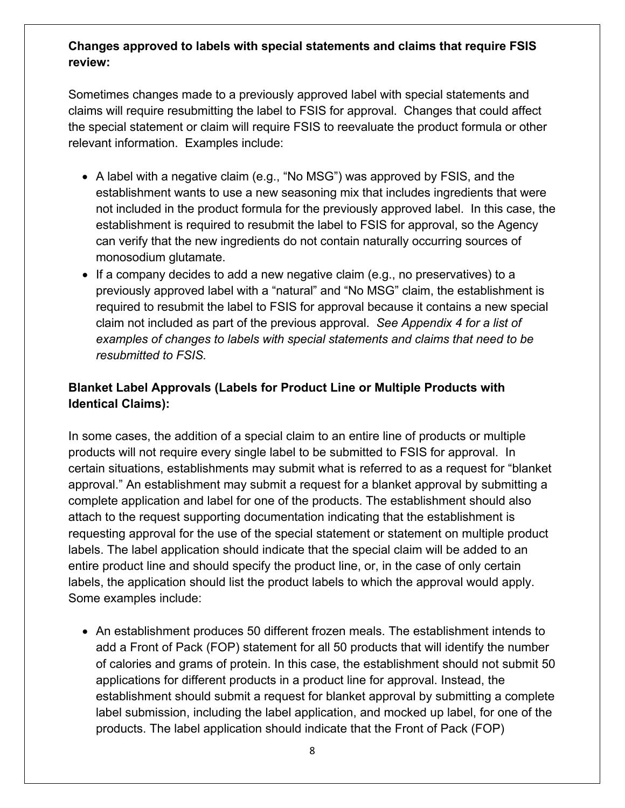#### **Changes approved to labels with special statements and claims that require FSIS review:**

Sometimes changes made to a previously approved label with special statements and claims will require resubmitting the label to FSIS for approval. Changes that could affect the special statement or claim will require FSIS to reevaluate the product formula or other relevant information. Examples include:

- A label with a negative claim (e.g., "No MSG") was approved by FSIS, and the establishment wants to use a new seasoning mix that includes ingredients that were not included in the product formula for the previously approved label. In this case, the establishment is required to resubmit the label to FSIS for approval, so the Agency can verify that the new ingredients do not contain naturally occurring sources of monosodium glutamate.
- claim not included as part of the previous approval. *See Appendix 4 for a list of*  • If a company decides to add a new negative claim (e.g., no preservatives) to a previously approved label with a "natural" and "No MSG" claim, the establishment is required to resubmit the label to FSIS for approval because it contains a new special *examples of changes to labels with special statements and claims that need to be resubmitted to FSIS.*

#### **Blanket Label Approvals (Labels for Product Line or Multiple Products with Identical Claims):**

labels, the application should list the product labels to which the approval would apply.<br>Some examples include: Some examples include: In some cases, the addition of a special claim to an entire line of products or multiple products will not require every single label to be submitted to FSIS for approval. In certain situations, establishments may submit what is referred to as a request for "blanket approval." An establishment may submit a request for a blanket approval by submitting a complete application and label for one of the products. The establishment should also attach to the request supporting documentation indicating that the establishment is requesting approval for the use of the special statement or statement on multiple product labels. The label application should indicate that the special claim will be added to an entire product line and should specify the product line, or, in the case of only certain

• An establishment produces 50 different frozen meals. The establishment intends to add a Front of Pack (FOP) statement for all 50 products that will identify the number of calories and grams of protein. In this case, the establishment should not submit 50 applications for different products in a product line for approval. Instead, the establishment should submit a request for blanket approval by submitting a complete label submission, including the label application, and mocked up label, for one of the products. The label application should indicate that the Front of Pack (FOP)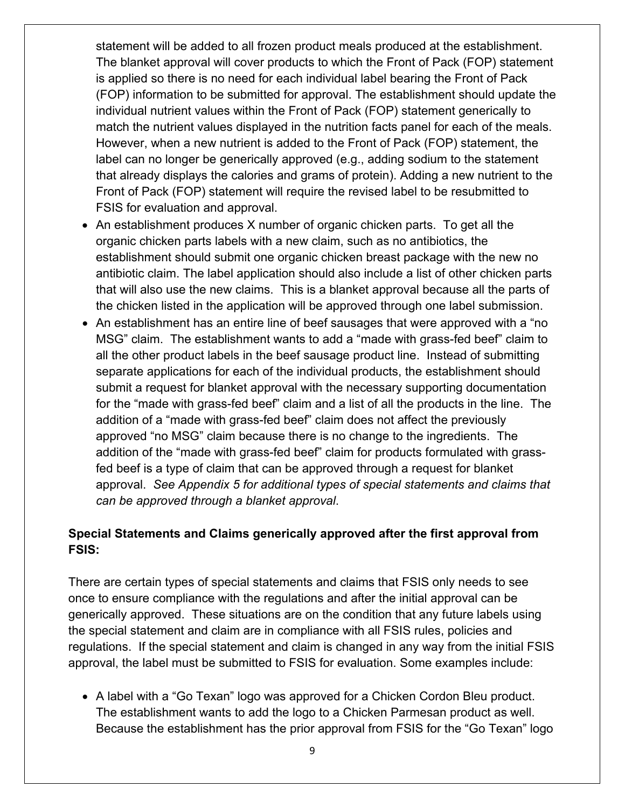match the nutrient values displayed in the nutrition facts panel for each of the meals. that already displays the calories and grams of protein). Adding a new nutrient to the statement will be added to all frozen product meals produced at the establishment. The blanket approval will cover products to which the Front of Pack (FOP) statement is applied so there is no need for each individual label bearing the Front of Pack (FOP) information to be submitted for approval. The establishment should update the individual nutrient values within the Front of Pack (FOP) statement generically to However, when a new nutrient is added to the Front of Pack (FOP) statement, the label can no longer be generically approved (e.g., adding sodium to the statement Front of Pack (FOP) statement will require the revised label to be resubmitted to FSIS for evaluation and approval.

- • An establishment produces X number of organic chicken parts. To get all the that will also use the new claims. This is a blanket approval because all the parts of organic chicken parts labels with a new claim, such as no antibiotics, the establishment should submit one organic chicken breast package with the new no antibiotic claim. The label application should also include a list of other chicken parts the chicken listed in the application will be approved through one label submission.
- • An establishment has an entire line of beef sausages that were approved with a "no separate applications for each of the individual products, the establishment should for the "made with grass-fed beef" claim and a list of all the products in the line. The addition of a "made with grass-fed beef" claim does not affect the previously addition of the "made with grass-fed beef" claim for products formulated with grass- approval. *See Appendix 5 for additional types of special statements and claims that*  MSG" claim. The establishment wants to add a "made with grass-fed beef" claim to all the other product labels in the beef sausage product line. Instead of submitting submit a request for blanket approval with the necessary supporting documentation approved "no MSG" claim because there is no change to the ingredients. The fed beef is a type of claim that can be approved through a request for blanket *can be approved through a blanket approval*.

#### **Special Statements and Claims generically approved after the first approval from FSIS:**

 the special statement and claim are in compliance with all FSIS rules, policies and regulations. If the special statement and claim is changed in any way from the initial FSIS approval, the label must be submitted to FSIS for evaluation. Some examples include: There are certain types of special statements and claims that FSIS only needs to see once to ensure compliance with the regulations and after the initial approval can be generically approved. These situations are on the condition that any future labels using

• A label with a "Go Texan" logo was approved for a Chicken Cordon Bleu product. • A label with a "Go Texan" logo was approved for a Chicken Cordon Bleu product. The establishment wants to add the logo to a Chicken Parmesan product as well. Because the establishment has the prior approval from FSIS for the "Go Texan" logo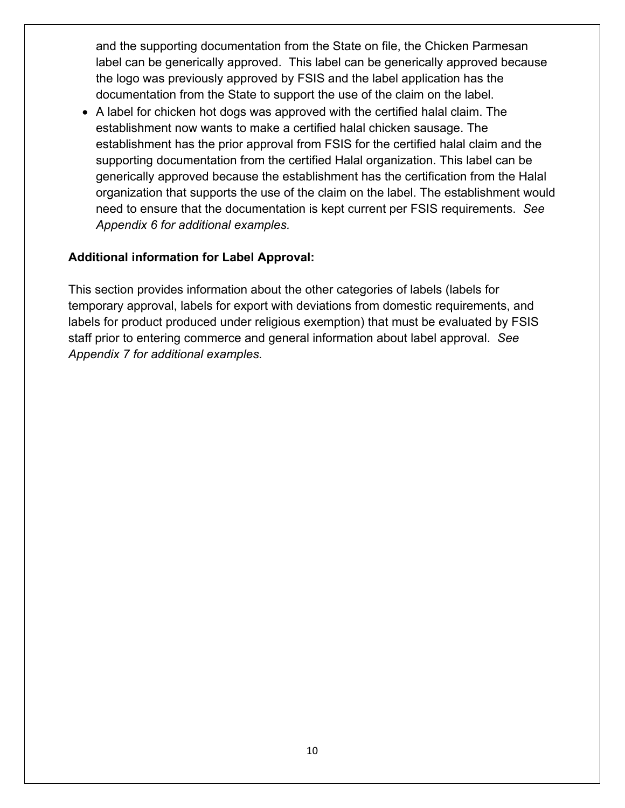documentation from the State to support the use of the claim on the label. and the supporting documentation from the State on file, the Chicken Parmesan label can be generically approved. This label can be generically approved because the logo was previously approved by FSIS and the label application has the

 generically approved because the establishment has the certification from the Halal need to ensure that the documentation is kept current per FSIS requirements. *See*  • A label for chicken hot dogs was approved with the certified halal claim. The establishment now wants to make a certified halal chicken sausage. The establishment has the prior approval from FSIS for the certified halal claim and the supporting documentation from the certified Halal organization. This label can be organization that supports the use of the claim on the label. The establishment would *Appendix 6 for additional examples.* 

#### **Additional information for Label Approval:**

 staff prior to entering commerce and general information about label approval. *See*  This section provides information about the other categories of labels (labels for temporary approval, labels for export with deviations from domestic requirements, and labels for product produced under religious exemption) that must be evaluated by FSIS *Appendix 7 for additional examples.*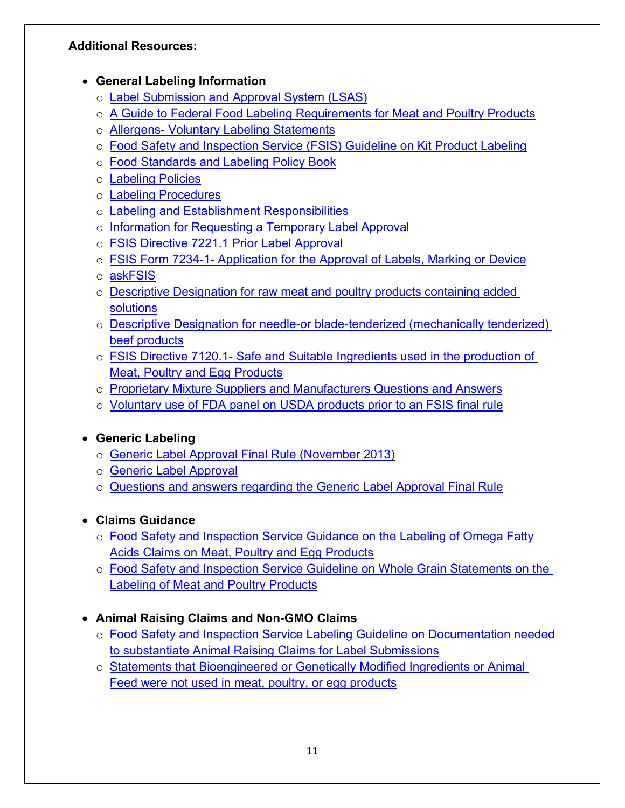#### **Additional Resources:**

#### • **General Labeling Information**

- o Label Submission and Approval System (LSAS)
- o A Guide to Federal Food Labeling Requirements for Meat and Poultry Products
- o Allergens- [Voluntary Labeling Statements](https://www.fsis.usda.gov/wps/portal/fsis/topics/regulatory-compliance/labeling/ingredients-guidance/allergens-voluntary-labeling-statements)
- o [Food Safety and Inspection Service \(FSIS\) Guideline on Kit Product Labeling](https://www.fsis.usda.gov/wps/wcm/connect/bbb1f44c-48d3-45a2-bcdc-ad91523fceca/guideline-kit-product-labeling.pdf?MOD=AJPERES)
- o Food Standards and Labeling Policy Book
- o [Labeling Policies](https://www.fsis.usda.gov/wps/portal/fsis/topics/regulatory-compliance/labeling/Labeling-Policies)
- o [Labeling Procedures](https://www.fsis.usda.gov/wps/portal/fsis/topics/regulatory-compliance/labeling/labeling-procedures)
- o [Labeling and Establishment Responsibilities](https://www.fsis.usda.gov/wps/portal/fsis/topics/regulatory-compliance/labeling/labeling-procedures/labeling-and-establishment-responsibilities)
- o Information for Requesting a Temporary Label Approval
- o [FSIS Directive 7221.1 Prior Label Approval](https://www.google.com/url?sa=t&rct=j&q=&esrc=s&source=web&cd=1&ved=0ahUKEwikuITd0ODUAhWCQz4KHfYfDyoQFggiMAA&url=https%3A%2F%2Fwww.fsis.usda.gov%2Fwps%2Fwcm%2Fconnect%2F9a2ebc76-2d43-4658-841a-f810b1f65f04%2F7221.1.pdf%3FMOD%3DAJPERES&usg=AFQjCNE923Yr8S9mVU9OY9t6JBthagOQ8w&cad=rja)
- o FSIS Form 7234-1- [Application for the Approval of Labels, Marking or Device](https://www.fsis.usda.gov/wps/wcm/connect/4aeeca8c-8ba6-4288-a222-e6ca8764a9f7/FSIS_7234-1_Approval_of_Labels.pdf?MOD=AJPERES)
- o [askFSIS](https://askfsis.custhelp.com/)
- o [Descriptive Designation for raw meat and poultry products containing added](http://www.fsis.usda.gov/wps/wcm/connect/95915f2e-9272-4a1d-8b52-5a2147cb8c59/2010-0012.htm?MOD=AJPERES)  [solutions](http://www.fsis.usda.gov/wps/wcm/connect/95915f2e-9272-4a1d-8b52-5a2147cb8c59/2010-0012.htm?MOD=AJPERES)
- o [Descriptive Designation for needle-or blade-tenderized \(mechanically tenderized\)](http://www.fsis.usda.gov/wps/wcm/connect/ea5a6c2e-a3d0-4990-9479-755e82f5ceb2/2008-0017F.pdf?MOD=AJPERES)  [beef products](http://www.fsis.usda.gov/wps/wcm/connect/ea5a6c2e-a3d0-4990-9479-755e82f5ceb2/2008-0017F.pdf?MOD=AJPERES)
- o FSIS Directive 7120.1- [Safe and Suitable Ingredients used in the production of](https://www.fsis.usda.gov/wps/wcm/connect/bab10e09-aefa-483b-8be8-809a1f051d4c/7120.1.pdf?MOD=AJPERES)  [Meat, Poultry and Egg Products](https://www.fsis.usda.gov/wps/wcm/connect/bab10e09-aefa-483b-8be8-809a1f051d4c/7120.1.pdf?MOD=AJPERES)
- o [Proprietary Mixture Suppliers and Manufacturers Questions and Answers](https://gcc02.safelinks.protection.outlook.com/?url=https%3A%2F%2Fwww.fsis.usda.gov%2FOPPDE%2Flarc%2FIngredients%2FPMC_QA.htm&data=02%7C01%7C%7Cb0ca4b15bae04a59f8db08d8019d61a9%7Ced5b36e701ee4ebc867ee03cfa0d4697%7C0%7C0%7C637261122740833920&sdata=UDf%2Fq%2F9PS3kMHhXGZYm3wHhYiZ7sdwyPxLgcG5GmOCU%3D&reserved=0)
- o [Voluntary use of FDA panel on USDA products prior to an FSIS final rule](https://www.fsis.usda.gov/wps/wcm/connect/815c1ec3-0779-42e5-b5ec-b85494392efb/2016-0030.html?MOD=AJPERES)

# • **Generic Labeling**

- o [Generic Label Approval Final Rule \(November 2013\)](http://www.fsis.usda.gov/wps/wcm/connect/3b0efaeb-9a81-4532-a1cc-b4d1cdb30f4a/2005-0016F.pdf?MOD=AJPERES)
- o [Generic Label Approval](http://www.fsis.usda.gov/wps/wcm/connect/1364c48d-214b-41bf-bab8-6289f951cb31/Generic-Final-Rule-Overview-Industry.pdf?MOD=AJPERES)
- o [Questions and answers regarding the Generic Label Approval Final Rule](https://www.fsis.usda.gov/wps/portal/fsis/topics/regulatory-compliance/labeling/labeling-policies/faq-generic-labeling)

# • **Claims Guidance**

- o [Food Safety and Inspection Service Guidance on the Labeling of Omega Fatty](http://www.fsis.usda.gov/wps/wcm/connect/aff1ec68-a0be-431f-b3de-1ddb53079534/omega-fatty-acids.pdf?MOD=AJPERES)  [Acids Claims on Meat, Poultry and Egg Products](http://www.fsis.usda.gov/wps/wcm/connect/aff1ec68-a0be-431f-b3de-1ddb53079534/omega-fatty-acids.pdf?MOD=AJPERES)
- o [Food Safety and Inspection Service Guideline on Whole Grain Statements on the](https://www.fsis.usda.gov/wps/wcm/connect/6ea06856-e04d-46d7-befd-5b9287c55640/Food_Guide_MYPyramid_Policy.pdf?MOD=AJPERES)  [Labeling of Meat and Poultry Products](https://www.fsis.usda.gov/wps/wcm/connect/6ea06856-e04d-46d7-befd-5b9287c55640/Food_Guide_MYPyramid_Policy.pdf?MOD=AJPERES)

# • **Animal Raising Claims and Non-GMO Claims**

- o [Food Safety and Inspection Service Labeling Guideline on Documentation needed](http://www.fsis.usda.gov/wps/wcm/connect/6fe3cd56-6809-4239-b7a2-bccb82a30588/RaisingClaims.pdf?MOD=AJPERES)  [to substantiate Animal Raising Claims for Label Submissions](http://www.fsis.usda.gov/wps/wcm/connect/6fe3cd56-6809-4239-b7a2-bccb82a30588/RaisingClaims.pdf?MOD=AJPERES)
- o Statements that Bioengineered or Genetically Modified Ingredients or Animal [Feed were not used in meat, poultry, or egg products](http://www.fsis.usda.gov/wps/portal/fsis/topics/regulatory-compliance/labeling/claims-guidance/procedures-nongenetically-engineered-statement)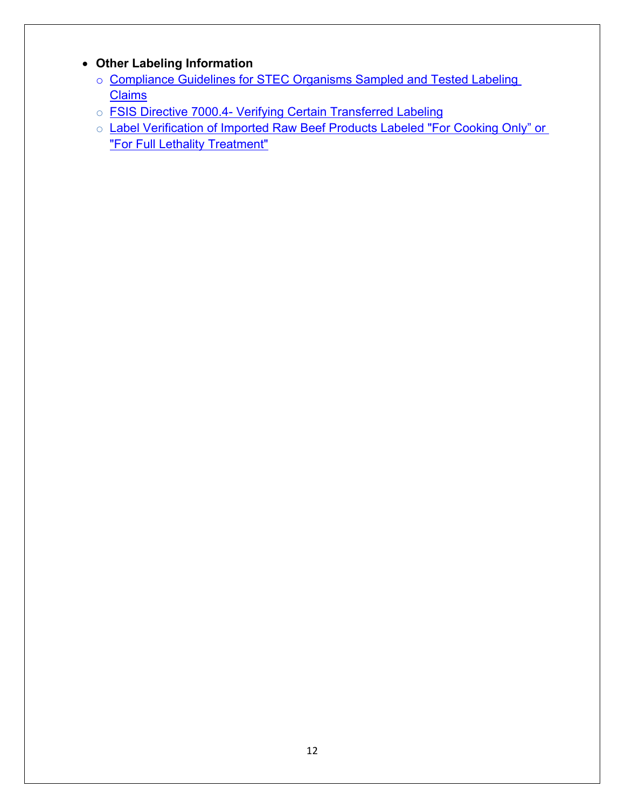# <span id="page-11-0"></span>• **Other Labeling Information**

- o [Compliance Guidelines for STEC Organisms Sampled and Tested Labeling](https://www.fsis.usda.gov/wps/wcm/connect/74ed604b-5d6b-4d82-916c-a94c4427ddd6/Compliance-Guide-Ecoli-Tested-Claims.pdf?MOD=AJPERES)  **Claims**
- o **FSIS Directive 7000.4- Verifying Certain Transferred Labeling**
- o Label Verification of Imported Raw Beef Products Labeled "For Cooking Only" or "For Full Lethality Treatment"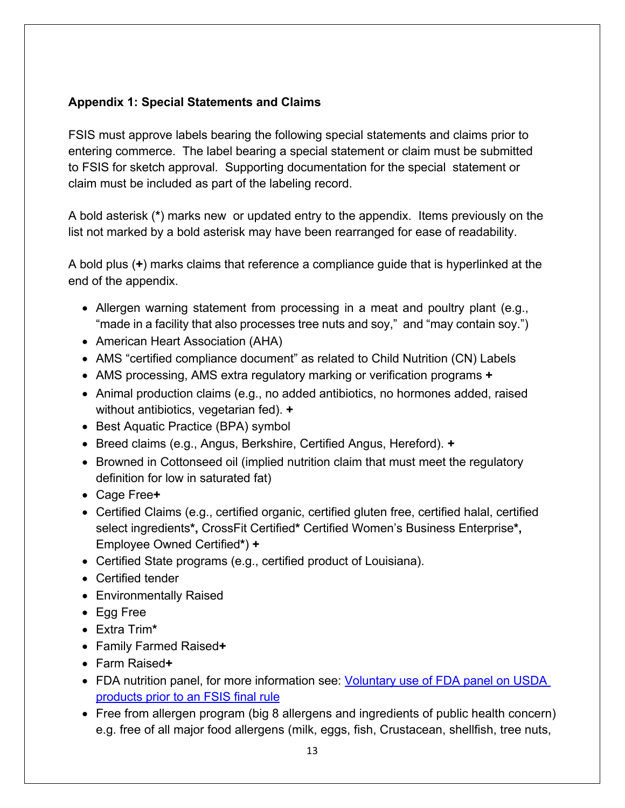#### <span id="page-12-0"></span>**Appendix 1: Special Statements and Claims**

 FSIS must approve labels bearing the following special statements and claims prior to entering commerce. The label bearing a special statement or claim must be submitted to FSIS for sketch approval. Supporting documentation for the special statement or claim must be included as part of the labeling record.

 A bold asterisk (**\***) marks new or updated entry to the appendix. Items previously on the list not marked by a bold asterisk may have been rearranged for ease of readability.

A bold plus (**+**) marks claims that reference a compliance guide that is hyperlinked at the end of the appendix.

- • Allergen warning statement from processing in a meat and poultry plant (e.g., "made in a facility that also processes tree nuts and soy," and "may contain soy.")
- American Heart Association (AHA)
- AMS "certified compliance document" as related to Child Nutrition (CN) Labels
- AMS processing, AMS extra regulatory marking or verification programs **+**
- • Animal production claims (e.g., no added antibiotics, no hormones added, raised without antibiotics, vegetarian fed). **+**
- Best Aquatic Practice (BPA) symbol
- Breed claims (e.g., Angus, Berkshire, Certified Angus, Hereford). **+**
- • Browned in Cottonseed oil (implied nutrition claim that must meet the regulatory definition for low in saturated fat)
- Cage Free**+**
- • Certified Claims (e.g., certified organic, certified gluten free, certified halal, certified select ingredients**\*,** CrossFit Certified**\*** Certified Women's Business Enterprise**\*,**  Employee Owned Certified**\***) **+**
- Certified State programs (e.g., certified product of Louisiana).
- Certified tender
- Environmentally Raised
- Egg Free
- Extra Trim**\***
- Family Farmed Raised**+**
- Farm Raised**+**
- FDA nutrition panel, for more information see: [Voluntary use of FDA panel on USDA](https://www.fsis.usda.gov/wps/wcm/connect/815c1ec3-0779-42e5-b5ec-b85494392efb/2016-0030.html?MOD=AJPERES)  [products prior to an FSIS final rule](https://www.fsis.usda.gov/wps/wcm/connect/815c1ec3-0779-42e5-b5ec-b85494392efb/2016-0030.html?MOD=AJPERES)
- Free from allergen program (big 8 allergens and ingredients of public health concern) e.g. free of all major food allergens (milk, eggs, fish, Crustacean, shellfish, tree nuts,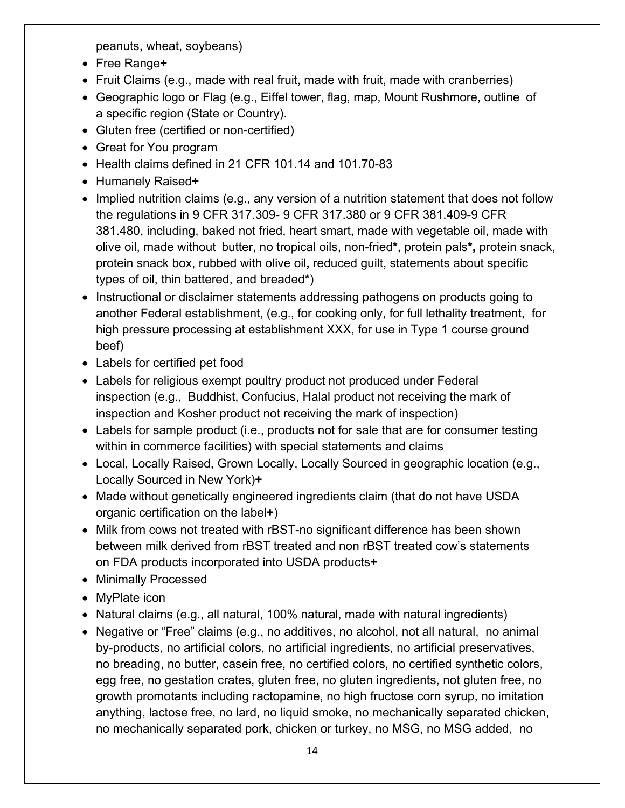peanuts, wheat, soybeans)

- Free Range**+**
- Fruit Claims (e.g., made with real fruit, made with fruit, made with cranberries)
- • Geographic logo or Flag (e.g., Eiffel tower, flag, map, Mount Rushmore, outline of a specific region (State or Country).
- Gluten free (certified or non-certified)
- Great for You program
- Health claims defined in 21 CFR 101.14 and 101.70-83
- Humanely Raised**+**
- • Implied nutrition claims (e.g., any version of a nutrition statement that does not follow 381.480, including, baked not fried, heart smart, made with vegetable oil, made with olive oil, made without butter, no tropical oils, non-fried**\***, protein pals**\*,** protein snack, the regulations in 9 CFR 317.309- 9 CFR 317.380 or 9 CFR 381.409-9 CFR protein snack box, rubbed with olive oil**,** reduced guilt, statements about specific types of oil, thin battered, and breaded**\***)
- • Instructional or disclaimer statements addressing pathogens on products going to another Federal establishment, (e.g., for cooking only, for full lethality treatment, for high pressure processing at establishment XXX, for use in Type 1 course ground beef)
- Labels for certified pet food
- • Labels for religious exempt poultry product not produced under Federal inspection (e.g., Buddhist, Confucius, Halal product not receiving the mark of inspection and Kosher product not receiving the mark of inspection)
- Labels for sample product (i.e., products not for sale that are for consumer testing within in commerce facilities) with special statements and claims
- • Local, Locally Raised, Grown Locally, Locally Sourced in geographic location (e.g., Locally Sourced in New York)**+**
- • Made without genetically engineered ingredients claim (that do not have USDA organic certification on the label**+**)
- Milk from cows not treated with rBST-no significant difference has been shown between milk derived from rBST treated and non rBST treated cow's statements on FDA products incorporated into USDA products**+**
- Minimally Processed
- MyPlate icon
- Natural claims (e.g., all natural, 100% natural, made with natural ingredients)
- • Negative or "Free" claims (e.g., no additives, no alcohol, not all natural, no animal no breading, no butter, casein free, no certified colors, no certified synthetic colors, no mechanically separated pork, chicken or turkey, no MSG, no MSG added, no by-products, no artificial colors, no artificial ingredients, no artificial preservatives, egg free, no gestation crates, gluten free, no gluten ingredients, not gluten free, no growth promotants including ractopamine, no high fructose corn syrup, no imitation anything, lactose free, no lard, no liquid smoke, no mechanically separated chicken,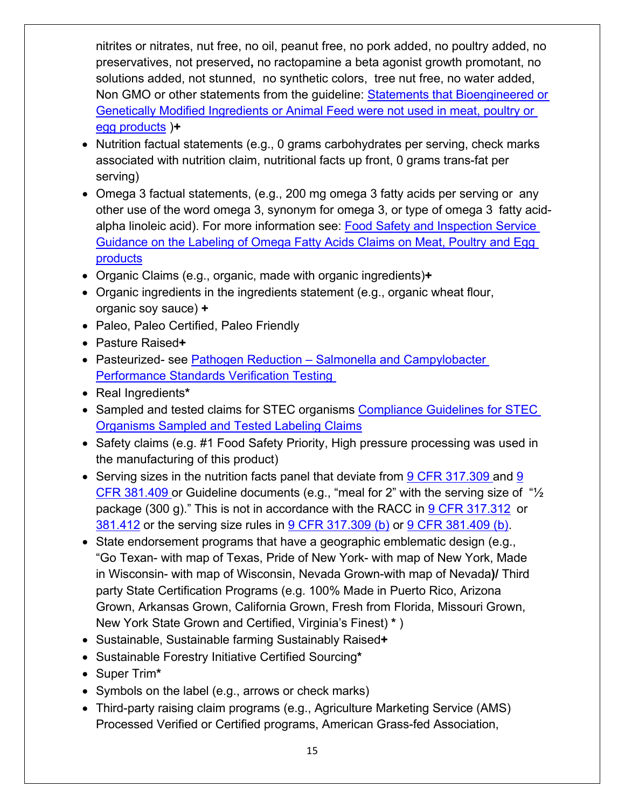nitrites or nitrates, nut free, no oil, peanut free, no pork added, no poultry added, no preservatives, not preserved**,** no ractopamine a beta agonist growth promotant, no solutions added, not stunned, no synthetic colors, tree nut free, no water added, Non GMO or other statements from the guideline: **Statements that Bioengineered or** [Genetically Modified Ingredients or Animal Feed were not used in meat, poultry or](http://www.fsis.usda.gov/wps/portal/fsis/topics/regulatory-compliance/labeling/claims-guidance/procedures-nongenetically-engineered-statement)  [egg products](http://www.fsis.usda.gov/wps/portal/fsis/topics/regulatory-compliance/labeling/claims-guidance/procedures-nongenetically-engineered-statement) )**+** 

- • Nutrition factual statements (e.g., 0 grams carbohydrates per serving, check marks associated with nutrition claim, nutritional facts up front, 0 grams trans-fat per serving)
- • Omega 3 factual statements, (e.g., 200 mg omega 3 fatty acids per serving or any other use of the word omega 3, synonym for omega 3, or type of omega 3 fatty acidalpha linoleic acid). For more information see: <u>Food Safety and Inspection Service </u> [Guidance on the Labeling of Omega Fatty Acids Claims on Meat, Poultry and Egg](http://www.fsis.usda.gov/wps/wcm/connect/aff1ec68-a0be-431f-b3de-1ddb53079534/omega-fatty-acids.pdf?MOD=AJPERES)  [products](http://www.fsis.usda.gov/wps/wcm/connect/aff1ec68-a0be-431f-b3de-1ddb53079534/omega-fatty-acids.pdf?MOD=AJPERES)
- Organic Claims (e.g., organic, made with organic ingredients)**+**
- • Organic ingredients in the ingredients statement (e.g., organic wheat flour, organic soy sauce) **+**
- Paleo, Paleo Certified, Paleo Friendly
- Pasture Raised**+**
- Pasteurized- see Pathogen Reduction Salmonella and Campylobacter Performance Standards Verification Testing
- Real Ingredients**\***
- Sampled and tested claims for STEC organisms Compliance Guidelines for STEC [Organisms Sampled and Tested Labeling Claims](https://www.fsis.usda.gov/wps/wcm/connect/74ed604b-5d6b-4d82-916c-a94c4427ddd6/Compliance-Guide-Ecoli-Tested-Claims.pdf?MOD=AJPERES)
- Safety claims (e.g. #1 Food Safety Priority, High pressure processing was used in the manufacturing of this product)
- Serving sizes in the nutrition facts panel that deviate from  $9$  CFR 317.309 and  $9$ <u>CFR 381.409 </u>or Guideline documents (e.g., "meal for 2" with the serving size of "½ package (300 g)." This is not in accordance with the RACC in <u>9 CFR 317.312</u> or <u>381.412</u> or the serving size rules in <u>9 CFR 317.309 (b)</u> or <u>9 CFR 381.409 (b)</u> .
- • State endorsement programs that have a geographic emblematic design (e.g., "Go Texan- with map of Texas, Pride of New York- with map of New York, Made New York State Grown and Certified, Virginia's Finest) **\*** ) in Wisconsin- with map of Wisconsin, Nevada Grown-with map of Nevada**)/** Third party State Certification Programs (e.g. 100% Made in Puerto Rico, Arizona Grown, Arkansas Grown, California Grown, Fresh from Florida, Missouri Grown,
- Sustainable, Sustainable farming Sustainably Raised**+**
- Sustainable Forestry Initiative Certified Sourcing**\***
- Super Trim**\***
- Symbols on the label (e.g., arrows or check marks)
- • Third-party raising claim programs (e.g., Agriculture Marketing Service (AMS) Processed Verified or Certified programs, American Grass-fed Association,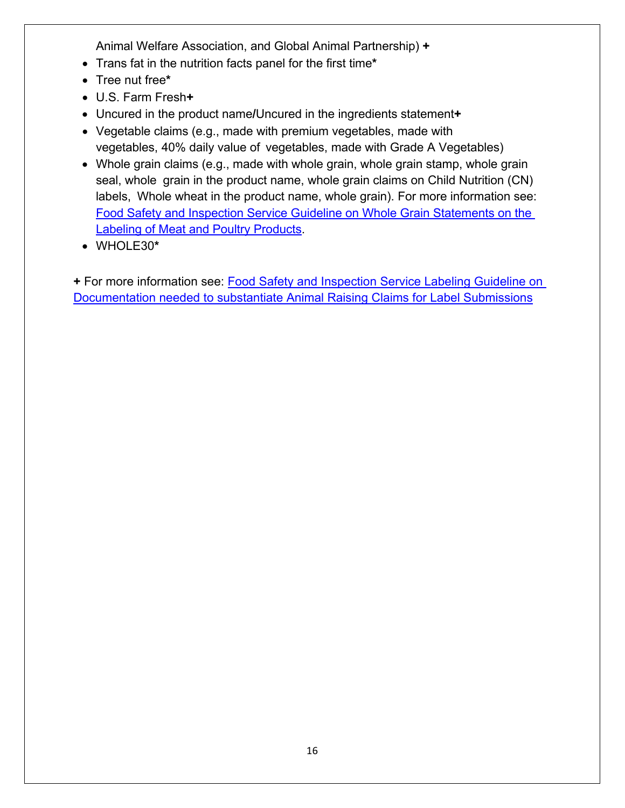Animal Welfare Association, and Global Animal Partnership) **+** 

- Trans fat in the nutrition facts panel for the first time**\***
- Tree nut free**\***
- U.S. Farm Fresh**+**
- Uncured in the product name**/**Uncured in the ingredients statement**+**
- • Vegetable claims (e.g., made with premium vegetables, made with vegetables, 40% daily value of vegetables, made with Grade A Vegetables)
- • Whole grain claims (e.g., made with whole grain, whole grain stamp, whole grain seal, whole grain in the product name, whole grain claims on Child Nutrition (CN) labels, Whole wheat in the product name, whole grain). For more information see: [Food Safety and Inspection Service Guideline on Whole Grain Statements on the](https://www.fsis.usda.gov/wps/wcm/connect/6ea06856-e04d-46d7-befd-5b9287c55640/Food_Guide_MYPyramid_Policy.pdf?MOD=AJPERES)  [Labeling of Meat and Poultry Products.](https://www.fsis.usda.gov/wps/wcm/connect/6ea06856-e04d-46d7-befd-5b9287c55640/Food_Guide_MYPyramid_Policy.pdf?MOD=AJPERES)
- WHOLE30**\***

**+** For more information see: [Food Safety and Inspection Service Labeling Guideline on](http://www.fsis.usda.gov/wps/wcm/connect/6fe3cd56-6809-4239-b7a2-bccb82a30588/RaisingClaims.pdf?MOD=AJPERES)  [Documentation needed to substantiate Animal Raising Claims for Label Submissions](http://www.fsis.usda.gov/wps/wcm/connect/6fe3cd56-6809-4239-b7a2-bccb82a30588/RaisingClaims.pdf?MOD=AJPERES)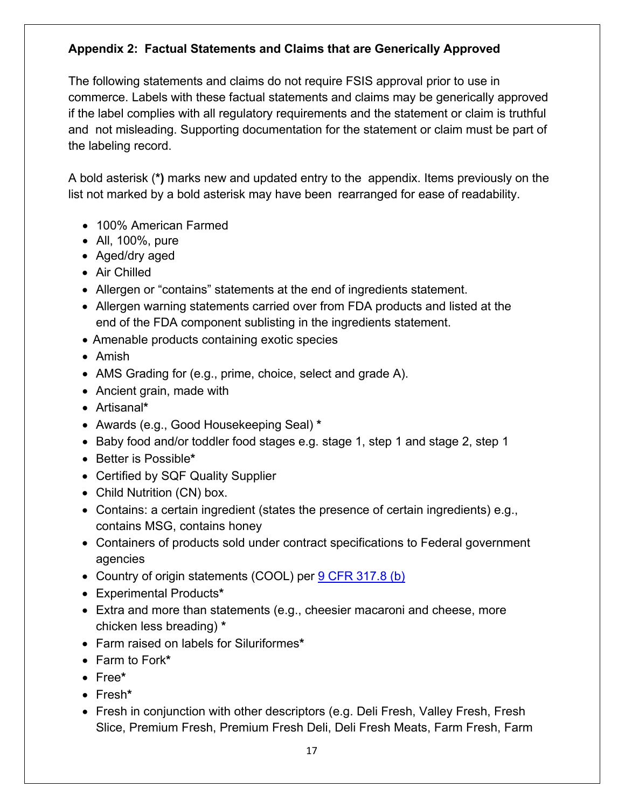#### <span id="page-16-0"></span> **Appendix 2: Factual Statements and Claims that are Generically Approved**

 The following statements and claims do not require FSIS approval prior to use in commerce. Labels with these factual statements and claims may be generically approved if the label complies with all regulatory requirements and the statement or claim is truthful and not misleading. Supporting documentation for the statement or claim must be part of the labeling record.

 A bold asterisk (**\*)** marks new and updated entry to the appendix. Items previously on the list not marked by a bold asterisk may have been rearranged for ease of readability.

- 100% American Farmed
- All, 100%, pure
- Aged/dry aged
- Air Chilled
- Allergen or "contains" statements at the end of ingredients statement.
- • Allergen warning statements carried over from FDA products and listed at the end of the FDA component sublisting in the ingredients statement.
- Amenable products containing exotic species
- Amish
- AMS Grading for (e.g., prime, choice, select and grade A).
- Ancient grain, made with
- Artisanal**\***
- Awards (e.g., Good Housekeeping Seal) **\***
- Baby food and/or toddler food stages e.g. stage 1, step 1 and stage 2, step 1
- Better is Possible**\***
- Certified by SQF Quality Supplier
- Child Nutrition (CN) box.
- Contains: a certain ingredient (states the presence of certain ingredients) e.g., contains MSG, contains honey
- Containers of products sold under contract specifications to Federal government agencies
- Country of origin statements (COOL) per **9 CFR 317.8 (b)**
- Experimental Products**\***
- Extra and more than statements (e.g., cheesier macaroni and cheese, more chicken less breading) **\***
- Farm raised on labels for Siluriformes**\***
- Farm to Fork**\***
- Free**\***
- Fresh**\***
- Fresh in conjunction with other descriptors (e.g. Deli Fresh, Valley Fresh, Fresh Slice, Premium Fresh, Premium Fresh Deli, Deli Fresh Meats, Farm Fresh, Farm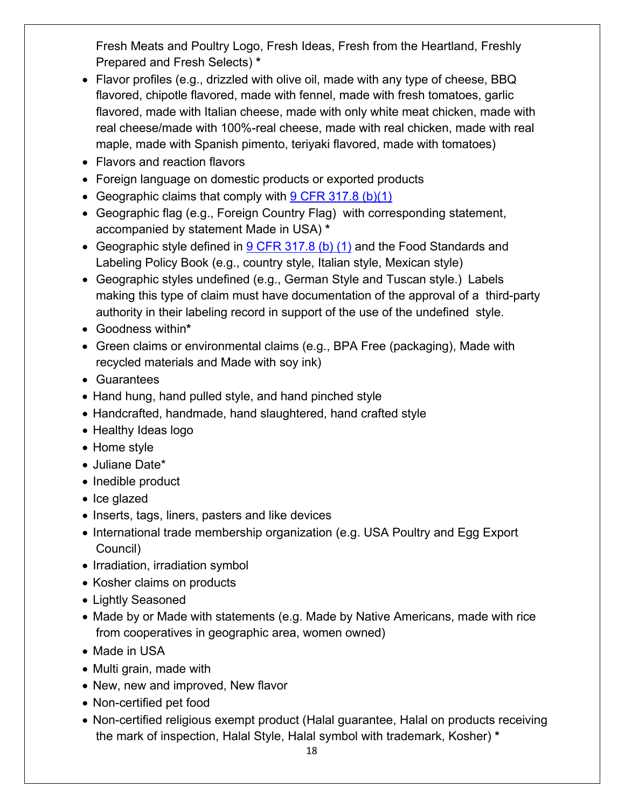Fresh Meats and Poultry Logo, Fresh Ideas, Fresh from the Heartland, Freshly Prepared and Fresh Selects) **\*** 

- • Flavor profiles (e.g., drizzled with olive oil, made with any type of cheese, BBQ flavored, chipotle flavored, made with fennel, made with fresh tomatoes, garlic flavored, made with Italian cheese, made with only white meat chicken, made with real cheese/made with 100%-real cheese, made with real chicken, made with real maple, made with Spanish pimento, teriyaki flavored, made with tomatoes)
- Flavors and reaction flavors
- Foreign language on domestic products or exported products
- Geographic claims that comply with 9 CFR 317.8 (b)(1)
- • Geographic flag (e.g., Foreign Country Flag) with corresponding statement, accompanied by statement Made in USA) **\***
- Geographic style defined in  $9$  CFR 317.8 (b) (1) and the Food Standards and Labeling Policy Book (e.g., country style, Italian style, Mexican style)
- • Geographic styles undefined (e.g., German Style and Tuscan style.) Labels making this type of claim must have documentation of the approval of a third-party authority in their labeling record in support of the use of the undefined style.
- Goodness within**\***
- • Green claims or environmental claims (e.g., BPA Free (packaging), Made with recycled materials and Made with soy ink)
- Guarantees
- Hand hung, hand pulled style, and hand pinched style
- Handcrafted, handmade, hand slaughtered, hand crafted style
- Healthy Ideas logo
- Home style
- Juliane Date\*
- Inedible product
- Ice glazed
- Inserts, tags, liners, pasters and like devices
- International trade membership organization (e.g. USA Poultry and Egg Export Council)
- Irradiation, irradiation symbol
- Kosher claims on products
- Lightly Seasoned
- Made by or Made with statements (e.g. Made by Native Americans, made with rice from cooperatives in geographic area, women owned)
- Made in USA
- Multi grain, made with
- New, new and improved, New flavor
- Non-certified pet food
- Non-certified religious exempt product (Halal guarantee, Halal on products receiving the mark of inspection, Halal Style, Halal symbol with trademark, Kosher) **\***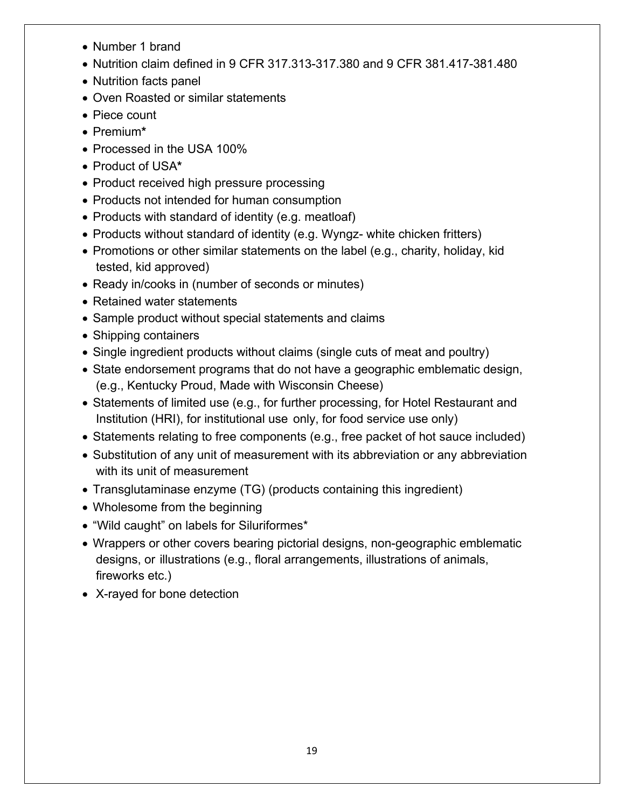- Number 1 brand
- Nutrition claim defined in 9 CFR 317.313-317.380 and 9 CFR 381.417-381.480
- Nutrition facts panel
- Oven Roasted or similar statements
- Piece count
- Premium**\***
- Processed in the USA 100%
- Product of USA**\***
- Product received high pressure processing
- Products not intended for human consumption
- Products with standard of identity (e.g. meatloaf)
- Products without standard of identity (e.g. Wyngz- white chicken fritters)
- • Promotions or other similar statements on the label (e.g., charity, holiday, kid tested, kid approved)
- Ready in/cooks in (number of seconds or minutes)
- Retained water statements
- Sample product without special statements and claims
- Shipping containers
- Single ingredient products without claims (single cuts of meat and poultry)
- • State endorsement programs that do not have a geographic emblematic design, (e.g., Kentucky Proud, Made with Wisconsin Cheese)
- • Statements of limited use (e.g., for further processing, for Hotel Restaurant and Institution (HRI), for institutional use only, for food service use only)
- Statements relating to free components (e.g., free packet of hot sauce included)
- Substitution of any unit of measurement with its abbreviation or any abbreviation with its unit of measurement
- Transglutaminase enzyme (TG) (products containing this ingredient)
- Wholesome from the beginning
- "Wild caught" on labels for Siluriformes\*
- • Wrappers or other covers bearing pictorial designs, non-geographic emblematic designs, or illustrations (e.g., floral arrangements, illustrations of animals, fireworks etc.)
- X-rayed for bone detection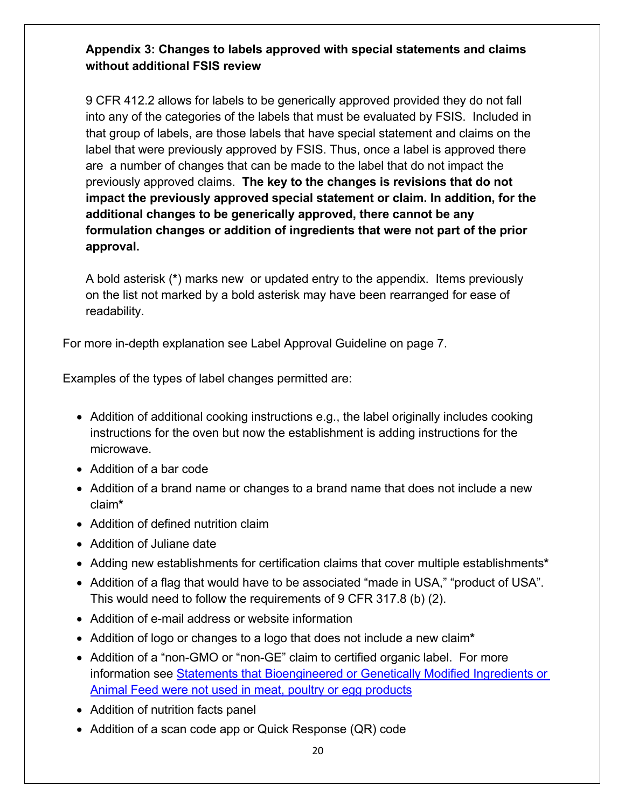#### <span id="page-19-0"></span>**Appendix 3: Changes to labels approved with special statements and claims without additional FSIS review**

 are a number of changes that can be made to the label that do not impact the previously approved claims. **The key to the changes is revisions that do not approval.** 9 CFR 412.2 allows for labels to be generically approved provided they do not fall into any of the categories of the labels that must be evaluated by FSIS. Included in that group of labels, are those labels that have special statement and claims on the label that were previously approved by FSIS. Thus, once a label is approved there **impact the previously approved special statement or claim. In addition, for the additional changes to be generically approved, there cannot be any formulation changes or addition of ingredients that were not part of the prior** 

 A bold asterisk (**\***) marks new or updated entry to the appendix. Items previously on the list not marked by a bold asterisk may have been rearranged for ease of readability.

readability. For more in-depth explanation see Label Approval Guideline on page 7.

Examples of the types of label changes permitted are:

- Addition of additional cooking instructions e.g., the label originally includes cooking instructions for the oven but now the establishment is adding instructions for the microwave.
- Addition of a bar code
- • Addition of a brand name or changes to a brand name that does not include a new claim**\***
- Addition of defined nutrition claim
- Addition of Juliane date
- Adding new establishments for certification claims that cover multiple establishments**\***
- • Addition of a flag that would have to be associated "made in USA," "product of USA". This would need to follow the requirements of 9 CFR 317.8 (b) (2).
- Addition of e-mail address or website information
- Addition of logo or changes to a logo that does not include a new claim**\***
- Addition of a "non-GMO or "non-GE" claim to certified organic label. For more information see [Statements that Bioengineered or Genetically Modified Ingredients or](http://www.fsis.usda.gov/wps/portal/fsis/topics/regulatory-compliance/labeling/claims-guidance/procedures-nongenetically-engineered-statement)  [Animal Feed were not used in meat, poultry or egg products](http://www.fsis.usda.gov/wps/portal/fsis/topics/regulatory-compliance/labeling/claims-guidance/procedures-nongenetically-engineered-statement)
- Addition of nutrition facts panel
- Addition of a scan code app or Quick Response (QR) code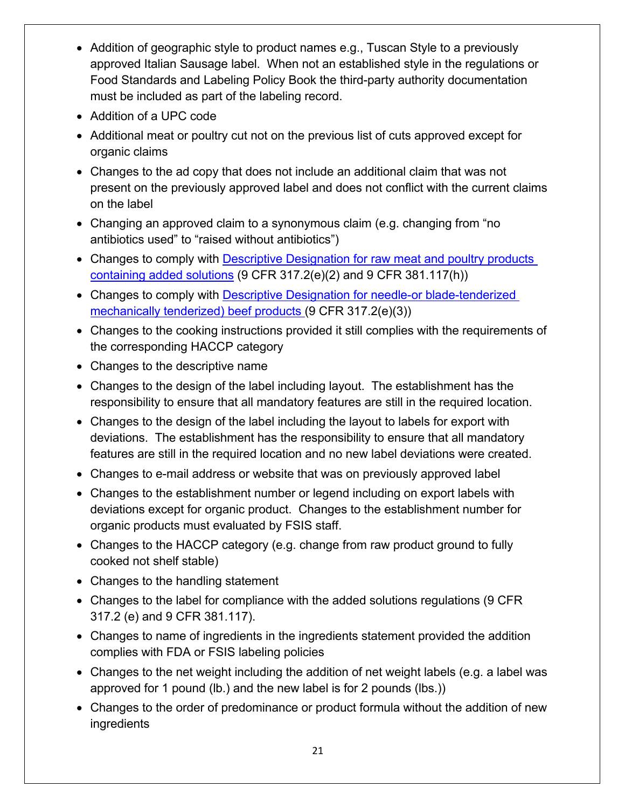- • Addition of geographic style to product names e.g., Tuscan Style to a previously approved Italian Sausage label. When not an established style in the regulations or Food Standards and Labeling Policy Book the third-party authority documentation must be included as part of the labeling record.
- Addition of a UPC code
- Additional meat or poultry cut not on the previous list of cuts approved except for organic claims
- present on the previously approved label and does not conflict with the current claims • Changes to the ad copy that does not include an additional claim that was not on the label
- Changing an approved claim to a synonymous claim (e.g. changing from "no antibiotics used" to "raised without antibiotics")
- Changes to comply with Descriptive Designation for raw meat and poultry products [containing added solutions](http://www.fsis.usda.gov/wps/wcm/connect/95915f2e-9272-4a1d-8b52-5a2147cb8c59/2010-0012.htm?MOD=AJPERES) (9 CFR 317.2(e)(2) and 9 CFR 381.117(h))
- Changes to comply with Descriptive Designation for needle-or blade-tenderized [mechanically tenderized\) beef products](http://www.fsis.usda.gov/wps/wcm/connect/ea5a6c2e-a3d0-4990-9479-755e82f5ceb2/2008-0017F.pdf?MOD=AJPERES) (9 CFR 317.2(e)(3))
- Changes to the cooking instructions provided it still complies with the requirements of the corresponding HACCP category
- Changes to the descriptive name
- Changes to the design of the label including layout. The establishment has the responsibility to ensure that all mandatory features are still in the required location.
- features are still in the required location and no new label deviations were created. • Changes to the design of the label including the layout to labels for export with deviations. The establishment has the responsibility to ensure that all mandatory
- Changes to e-mail address or website that was on previously approved label
- organic products must evaluated by FSIS staff. • Changes to the establishment number or legend including on export labels with deviations except for organic product. Changes to the establishment number for
- Changes to the HACCP category (e.g. change from raw product ground to fully cooked not shelf stable)
- Changes to the handling statement
- Changes to the label for compliance with the added solutions regulations (9 CFR 317.2 (e) and 9 CFR 381.117).
- • Changes to name of ingredients in the ingredients statement provided the addition complies with FDA or FSIS labeling policies
- Changes to the net weight including the addition of net weight labels (e.g. a label was approved for 1 pound (lb.) and the new label is for 2 pounds (lbs.))
- Changes to the order of predominance or product formula without the addition of new ingredients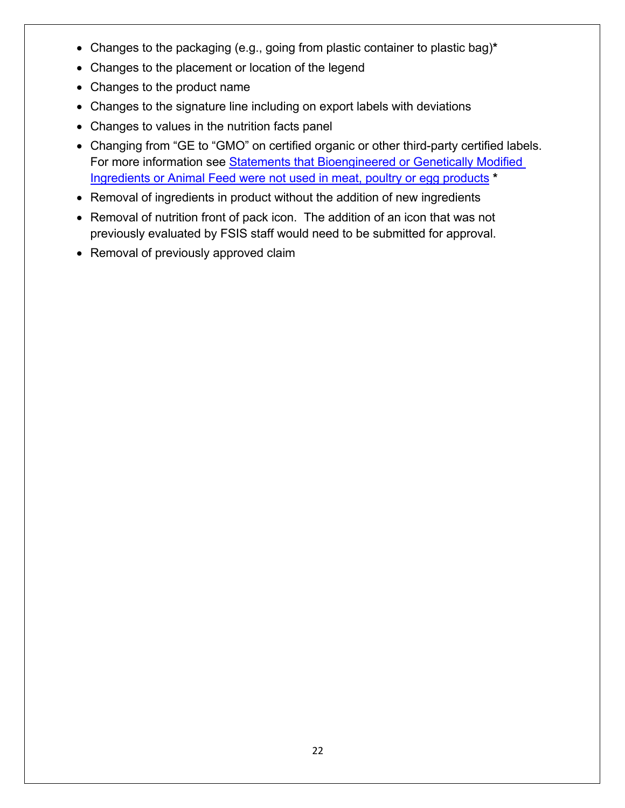- Changes to the packaging (e.g., going from plastic container to plastic bag)**\***
- Changes to the placement or location of the legend
- Changes to the product name
- Changes to the signature line including on export labels with deviations
- Changes to values in the nutrition facts panel
- [Ingredients or Animal Feed were not used in meat, poultry or egg products](http://www.fsis.usda.gov/wps/portal/fsis/topics/regulatory-compliance/labeling/claims-guidance/procedures-nongenetically-engineered-statement) **\*** • Changing from "GE to "GMO" on certified organic or other third-party certified labels. For more information see **Statements that Bioengineered or Genetically Modified**
- Removal of ingredients in product without the addition of new ingredients
- Removal of nutrition front of pack icon. The addition of an icon that was not previously evaluated by FSIS staff would need to be submitted for approval.
- Removal of previously approved claim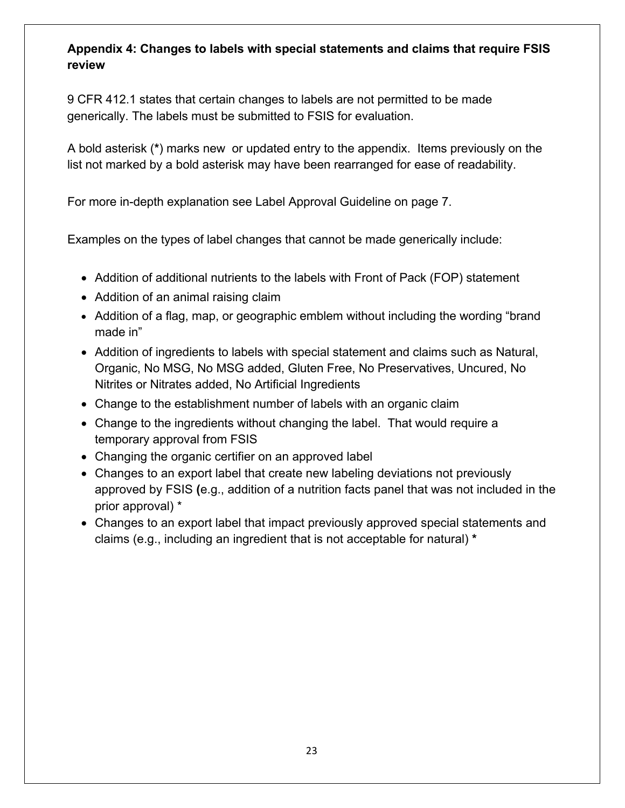## <span id="page-22-0"></span> **review Appendix 4: Changes to labels with special statements and claims that require FSIS**

9 CFR 412.1 states that certain changes to labels are not permitted to be made generically. The labels must be submitted to FSIS for evaluation.

 A bold asterisk (**\***) marks new or updated entry to the appendix. Items previously on the list not marked by a bold asterisk may have been rearranged for ease of readability.

For more in-depth explanation see Label Approval Guideline on page 7.

Examples on the types of label changes that cannot be made generically include:

- Addition of additional nutrients to the labels with Front of Pack (FOP) statement
- Addition of an animal raising claim
- • Addition of a flag, map, or geographic emblem without including the wording "brand made in"
- • Addition of ingredients to labels with special statement and claims such as Natural, Organic, No MSG, No MSG added, Gluten Free, No Preservatives, Uncured, No Nitrites or Nitrates added, No Artificial Ingredients
- Change to the establishment number of labels with an organic claim
- Change to the ingredients without changing the label. That would require a temporary approval from FSIS
- Changing the organic certifier on an approved label
- Changes to an export label that create new labeling deviations not previously approved by FSIS **(**e.g., addition of a nutrition facts panel that was not included in the prior approval) \*
- claims (e.g., including an ingredient that is not acceptable for natural) **\***  • Changes to an export label that impact previously approved special statements and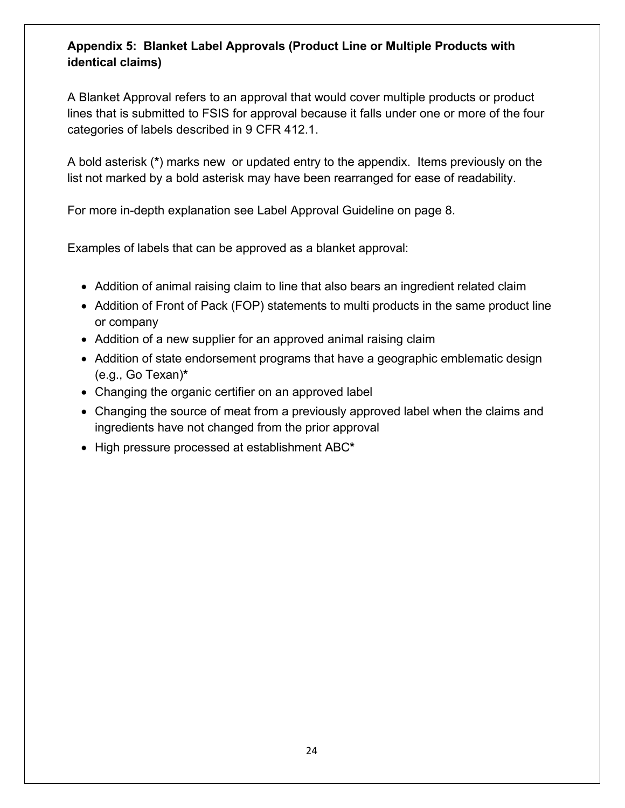#### <span id="page-23-0"></span> **Appendix 5: Blanket Label Approvals (Product Line or Multiple Products with identical claims)**

categories of labels described in 9 CFR 412.1. A Blanket Approval refers to an approval that would cover multiple products or product lines that is submitted to FSIS for approval because it falls under one or more of the four

categories of labels described in 9 CFR 412.1.<br>A bold asterisk (\*) marks new or updated entry to the appendix. Items previously on the list not marked by a bold asterisk may have been rearranged for ease of readability.

For more in-depth explanation see Label Approval Guideline on page 8.

Examples of labels that can be approved as a blanket approval:

- Addition of animal raising claim to line that also bears an ingredient related claim
- Addition of Front of Pack (FOP) statements to multi products in the same product line or company
- Addition of a new supplier for an approved animal raising claim
- Addition of state endorsement programs that have a geographic emblematic design (e.g., Go Texan)**\***
- Changing the organic certifier on an approved label
- ingredients have not changed from the prior approval • Changing the source of meat from a previously approved label when the claims and
- High pressure processed at establishment ABC**\***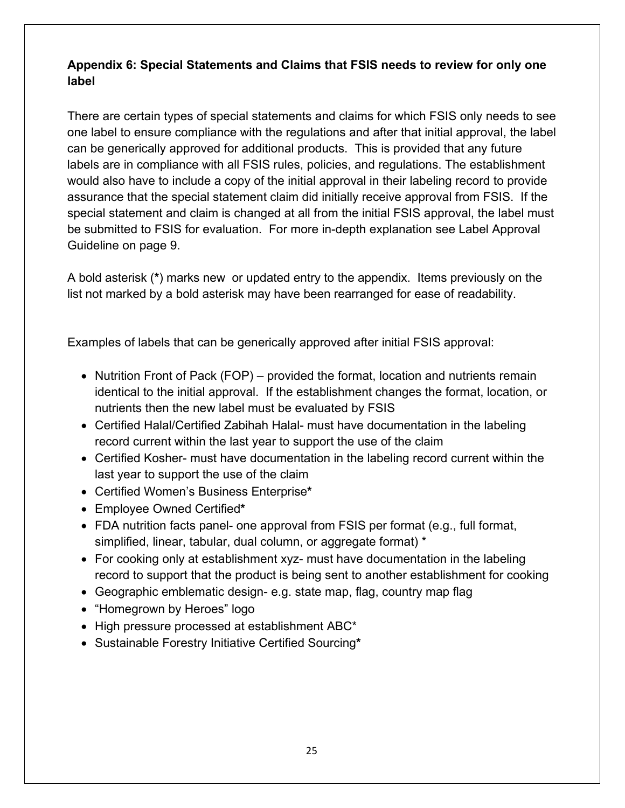#### <span id="page-24-0"></span>**Appendix 6: Special Statements and Claims that FSIS needs to review for only one label**

 can be generically approved for additional products. This is provided that any future assurance that the special statement claim did initially receive approval from FSIS. If the special statement and claim is changed at all from the initial FSIS approval, the label must There are certain types of special statements and claims for which FSIS only needs to see one label to ensure compliance with the regulations and after that initial approval, the label labels are in compliance with all FSIS rules, policies, and regulations. The establishment would also have to include a copy of the initial approval in their labeling record to provide be submitted to FSIS for evaluation. For more in-depth explanation see Label Approval Guideline on page 9.

 A bold asterisk (**\***) marks new or updated entry to the appendix. Items previously on the list not marked by a bold asterisk may have been rearranged for ease of readability.

Examples of labels that can be generically approved after initial FSIS approval:

- • Nutrition Front of Pack (FOP) provided the format, location and nutrients remain identical to the initial approval. If the establishment changes the format, location, or nutrients then the new label must be evaluated by FSIS
- • Certified Halal/Certified Zabihah Halal- must have documentation in the labeling record current within the last year to support the use of the claim
- Certified Kosher- must have documentation in the labeling record current within the last year to support the use of the claim
- Certified Women's Business Enterprise**\***
- Employee Owned Certified**\***
- • FDA nutrition facts panel- one approval from FSIS per format (e.g., full format, simplified, linear, tabular, dual column, or aggregate format) \*
- For cooking only at establishment xyz- must have documentation in the labeling record to support that the product is being sent to another establishment for cooking
- Geographic emblematic design- e.g. state map, flag, country map flag
- "Homegrown by Heroes" logo
- High pressure processed at establishment ABC\*
- Sustainable Forestry Initiative Certified Sourcing**\***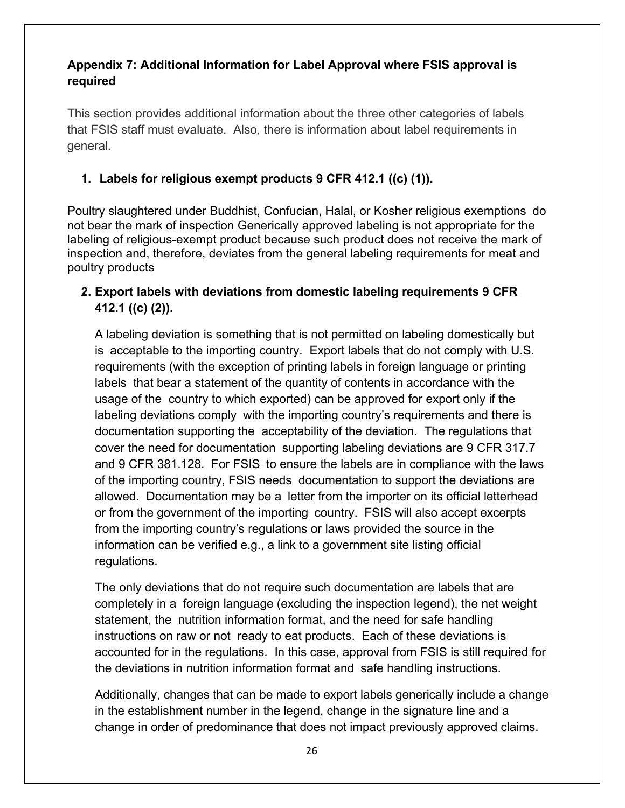#### <span id="page-25-0"></span> **Appendix 7: Additional Information for Label Approval where FSIS approval is required**

 This section provides additional information about the three other categories of labels that FSIS staff must evaluate. Also, there is information about label requirements in general.

#### **1. Labels for religious exempt products 9 CFR 412.1 ((c) (1)).**

 Poultry slaughtered under Buddhist, Confucian, Halal, or Kosher religious exemptions do not bear the mark of inspection Generically approved labeling is not appropriate for the labeling of religious-exempt product because such product does not receive the mark of inspection and, therefore, deviates from the general labeling requirements for meat and poultry products

#### **2. Export labels with deviations from domestic labeling requirements 9 CFR 412.1 ((c) (2)).**

 A labeling deviation is something that is not permitted on labeling domestically but is acceptable to the importing country. Export labels that do not comply with U.S. requirements (with the exception of printing labels in foreign language or printing labels that bear a statement of the quantity of contents in accordance with the usage of the country to which exported) can be approved for export only if the labeling deviations comply with the importing country's requirements and there is documentation supporting the acceptability of the deviation. The regulations that cover the need for documentation supporting labeling deviations are 9 CFR 317.7 and 9 CFR 381.128. For FSIS to ensure the labels are in compliance with the laws of the importing country, FSIS needs documentation to support the deviations are allowed. Documentation may be a letter from the importer on its official letterhead or from the government of the importing country. FSIS will also accept excerpts from the importing country's regulations or laws provided the source in the information can be verified e.g., a link to a government site listing official regulations.

 The only deviations that do not require such documentation are labels that are completely in a foreign language (excluding the inspection legend), the net weight statement, the nutrition information format, and the need for safe handling instructions on raw or not ready to eat products. Each of these deviations is accounted for in the regulations. In this case, approval from FSIS is still required for the deviations in nutrition information format and safe handling instructions.

 change in order of predominance that does not impact previously approved claims. Additionally, changes that can be made to export labels generically include a change in the establishment number in the legend, change in the signature line and a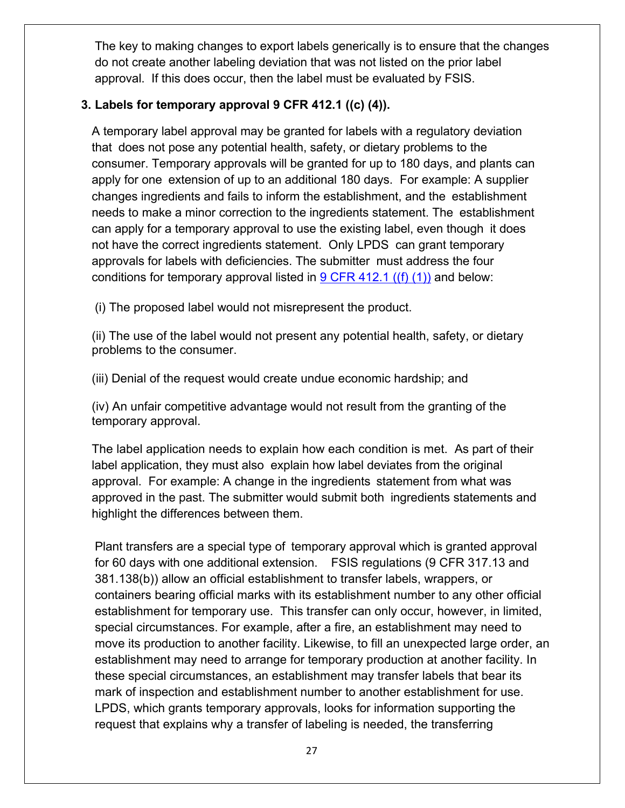do not create another labeling deviation that was not listed on the prior label approval. If this does occur, then the label must be evaluated by FSIS. The key to making changes to export labels generically is to ensure that the changes

#### **3. Labels for temporary approval 9 CFR 412.1 ((c) (4)).**

 A temporary label approval may be granted for labels with a regulatory deviation that does not pose any potential health, safety, or dietary problems to the consumer. Temporary approvals will be granted for up to 180 days, and plants can apply for one extension of up to an additional 180 days. For example: A supplier changes ingredients and fails to inform the establishment, and the establishment needs to make a minor correction to the ingredients statement. The establishment can apply for a temporary approval to use the existing label, even though it does not have the correct ingredients statement. Only LPDS can grant temporary approvals for labels with deficiencies. The submitter must address the four conditions for temporary approval listed in <u>9 CFR 412.1 ((f) (1))</u> and below:

(i) The proposed label would not misrepresent the product.

(ii) The use of the label would not present any potential health, safety, or dietary problems to the consumer.

(iii) Denial of the request would create undue economic hardship; and

(iv) An unfair competitive advantage would not result from the granting of the temporary approval.

 The label application needs to explain how each condition is met. As part of their label application, they must also explain how label deviates from the original approval. For example: A change in the ingredients statement from what was approved in the past. The submitter would submit both ingredients statements and highlight the differences between them.

 Plant transfers are a special type of temporary approval which is granted approval for 60 days with one additional extension. FSIS regulations (9 CFR 317.13 and 381.138(b)) allow an official establishment to transfer labels, wrappers, or containers bearing official marks with its establishment number to any other official establishment for temporary use. This transfer can only occur, however, in limited, special circumstances. For example, after a fire, an establishment may need to move its production to another facility. Likewise, to fill an unexpected large order, an establishment may need to arrange for temporary production at another facility. In these special circumstances, an establishment may transfer labels that bear its mark of inspection and establishment number to another establishment for use. LPDS, which grants temporary approvals, looks for information supporting the request that explains why a transfer of labeling is needed, the transferring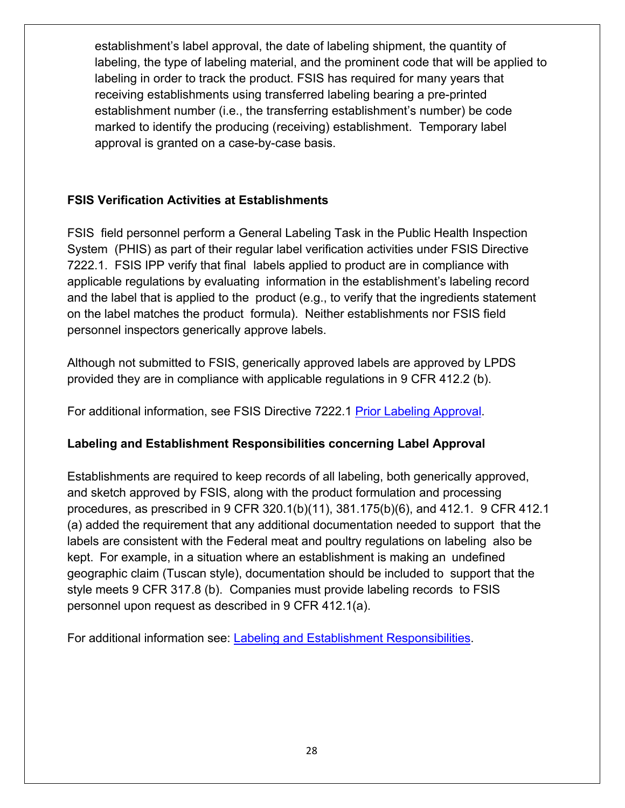marked to identify the producing (receiving) establishment. Temporary label approval is granted on a case-by-case basis. establishment's label approval, the date of labeling shipment, the quantity of labeling, the type of labeling material, and the prominent code that will be applied to labeling in order to track the product. FSIS has required for many years that receiving establishments using transferred labeling bearing a pre-printed establishment number (i.e., the transferring establishment's number) be code

#### **FSIS Verification Activities at Establishments**

 FSIS field personnel perform a General Labeling Task in the Public Health Inspection System (PHIS) as part of their regular label verification activities under FSIS Directive 7222.1. FSIS IPP verify that final labels applied to product are in compliance with applicable regulations by evaluating information in the establishment's labeling record and the label that is applied to the product (e.g., to verify that the ingredients statement on the label matches the product formula). Neither establishments nor FSIS field personnel inspectors generically approve labels.

 Although not submitted to FSIS, generically approved labels are approved by LPDS provided they are in compliance with applicable regulations in 9 CFR 412.2 (b).

For additional information, see FSIS Directive 7222.1 [Prior Labeling Approval.](https://www.fsis.usda.gov/wps/wcm/connect/9a2ebc76-2d43-4658-841a-f810b1f65f04/7221.1.pdf?MOD=AJPERES)

#### **Labeling and Establishment Responsibilities concerning Label Approval**

 Establishments are required to keep records of all labeling, both generically approved, and sketch approved by FSIS, along with the product formulation and processing procedures, as prescribed in 9 CFR 320.1(b)(11), 381.175(b)(6), and 412.1. 9 CFR 412.1 (a) added the requirement that any additional documentation needed to support that the labels are consistent with the Federal meat and poultry regulations on labeling also be kept. For example, in a situation where an establishment is making an undefined geographic claim (Tuscan style), documentation should be included to support that the style meets 9 CFR 317.8 (b). Companies must provide labeling records to FSIS personnel upon request as described in 9 CFR 412.1(a).

For additional information see: [Labeling and Establishment Responsibilities.](https://www.fsis.usda.gov/wps/portal/fsis/topics/regulatory-compliance/labeling/labeling-procedures/labeling-and-establishment-responsibilities)